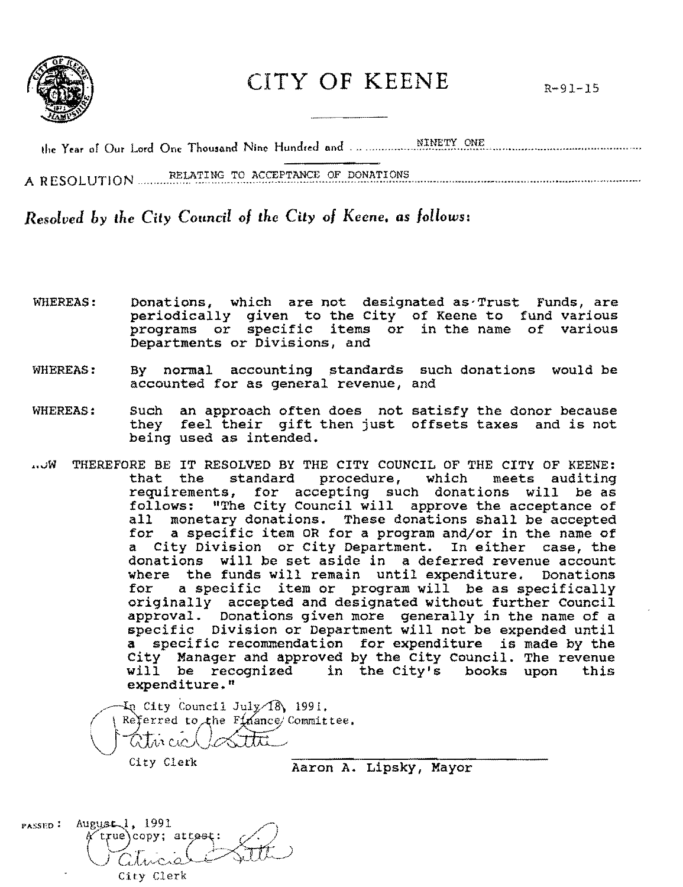

## CITY OF KEENE

A RESOLUTION RELATING TO ACCEPTANCE OF DONATIONS

Resolved by the City Council of the City of Keene, as follows:

- Donations, which are not designated as Trust Funds, are **WHEREAS:** periodically given to the City of Keene to fund various programs or specific items or in the name of various Departments or Divisions, and
- **WHEREAS:** By normal accounting standards such donations would be accounted for as general revenue, and
- **WHEREAS:** an approach often does not satisfy the donor because Such they feel their gift then just offsets taxes and is not being used as intended.
- THEREFORE BE IT RESOLVED BY THE CITY COUNCIL OF THE CITY OF KEENE: ∕∖ال… that the standard procedure, which meets auditing requirements, for accepting such donations will be as follows: "The City Council will approve the acceptance of monetary donations. These donations shall be accepted  $a11$ for a specific item OR for a program and/or in the name of a City Division or City Department. In either case, the donations will be set aside in a deferred revenue account where the funds will remain until expenditure. Donations for a specific item or program will be as specifically originally accepted and designated without further Council<br>approval. Donations given more generally in the name of a specific Division or Department will not be expended until a specific recommendation for expenditure is made by the City Manager and approved by the City Council. The revenue will be recognized in the City's books upon this expenditure."

 $\text{Ln}$  City Council July 18, 1991. Referred to the  $F_1$  ance Committee.  $100$ atvicict

City Clerk

Aaron A. Lipsky, Mayor

PASSED:  $\text{August}, 1, 1991$ A true\copy; attest: City Clerk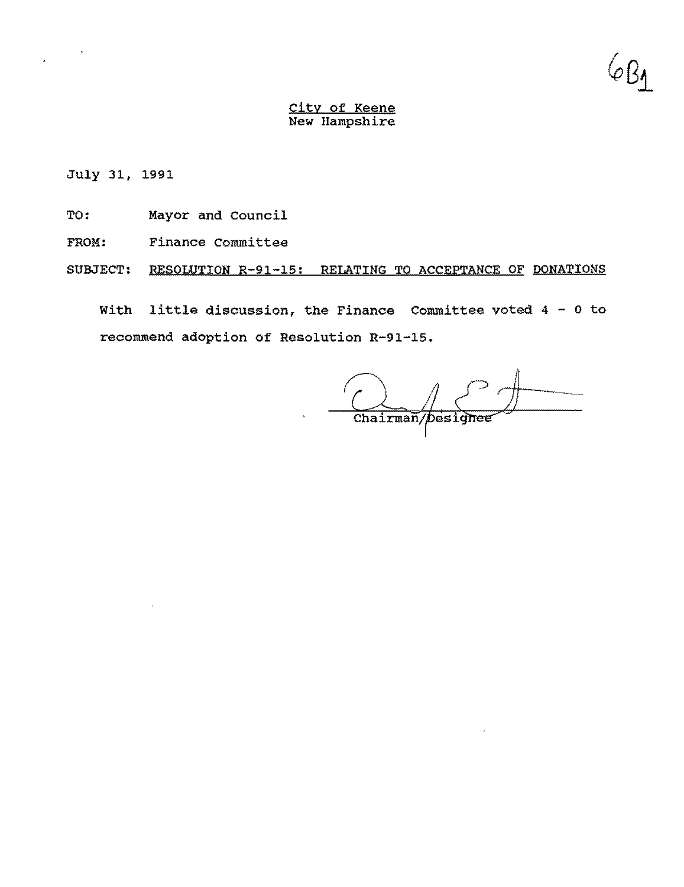0 K

July 31, 1991

- TO: Mayor and Council
- FROM: Finance Committee
- SUBJECT: RESOLUTION R-9l-15: RELATING TO ACCEPTANCE OF DONATIONS

With little discussion, the Finance Committee voted 4 - 0 to recommend adoption of Resolution R-91-15.

Chairman/Designee